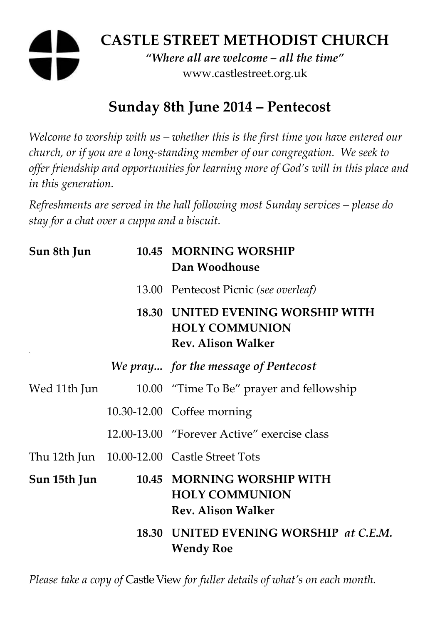# **CASTLE STREET METHODIST CHURCH**

*"Where all are welcome – all the time"*  www.castlestreet.org.uk

## **Sunday 8th June 2014 – Pentecost**

*Welcome to worship with us – whether this is the first time you have entered our church, or if you are a long-standing member of our congregation. We seek to offer friendship and opportunities for learning more of God's will in this place and in this generation.* 

*Refreshments are served in the hall following most Sunday services – please do stay for a chat over a cuppa and a biscuit.* 

| Sun 8th Jun  | 10.45 MORNING WORSHIP<br>Dan Woodhouse                                                  |
|--------------|-----------------------------------------------------------------------------------------|
|              | 13.00 Pentecost Picnic (see overleaf)                                                   |
|              | 18.30 UNITED EVENING WORSHIP WITH<br><b>HOLY COMMUNION</b><br><b>Rev. Alison Walker</b> |
|              | We pray for the message of Pentecost                                                    |
| Wed 11th Jun | 10.00 "Time To Be" prayer and fellowship                                                |
|              | 10.30-12.00 Coffee morning                                                              |
|              | 12.00-13.00 "Forever Active" exercise class                                             |
|              | Thu 12th Jun 10.00-12.00 Castle Street Tots                                             |
| Sun 15th Jun | 10.45 MORNING WORSHIP WITH<br><b>HOLY COMMUNION</b><br><b>Rev. Alison Walker</b>        |
|              | 18.30 UNITED EVENING WORSHIP at C.E.M.<br><b>Wendy Roe</b>                              |

*Please take a copy of* Castle View *for fuller details of what's on each month.*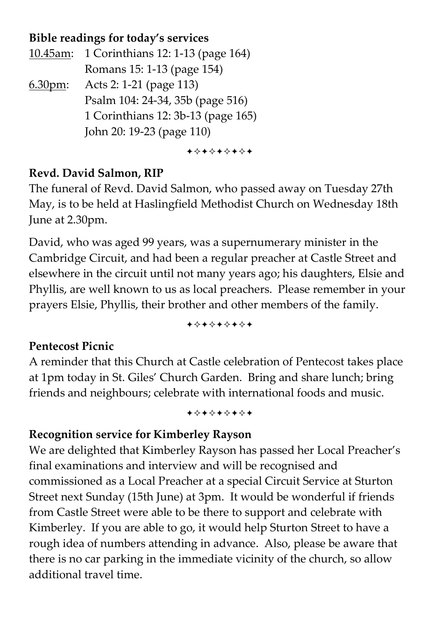#### **Bible readings for today's services**

10.45am: 1 Corinthians 12: 1-13 (page 164) Romans 15: 1-13 (page 154) 6.30pm: Acts 2: 1-21 (page 113) Psalm 104: 24-34, 35b (page 516) 1 Corinthians 12: 3b-13 (page 165) John 20: 19-23 (page 110)

+\*\*\*\*\*\*\*

#### **Revd. David Salmon, RIP**

The funeral of Revd. David Salmon, who passed away on Tuesday 27th May, is to be held at Haslingfield Methodist Church on Wednesday 18th June at 2.30pm.

David, who was aged 99 years, was a supernumerary minister in the Cambridge Circuit, and had been a regular preacher at Castle Street and elsewhere in the circuit until not many years ago; his daughters, Elsie and Phyllis, are well known to us as local preachers. Please remember in your prayers Elsie, Phyllis, their brother and other members of the family.

+\*\*\*\*\*\*\*

#### **Pentecost Picnic**

A reminder that this Church at Castle celebration of Pentecost takes place at 1pm today in St. Giles' Church Garden. Bring and share lunch; bring friends and neighbours; celebrate with international foods and music.

+\*+\*\*\*\*\*

### **Recognition service for Kimberley Rayson**

We are delighted that Kimberley Rayson has passed her Local Preacher's final examinations and interview and will be recognised and commissioned as a Local Preacher at a special Circuit Service at Sturton Street next Sunday (15th June) at 3pm. It would be wonderful if friends from Castle Street were able to be there to support and celebrate with Kimberley. If you are able to go, it would help Sturton Street to have a rough idea of numbers attending in advance. Also, please be aware that there is no car parking in the immediate vicinity of the church, so allow additional travel time.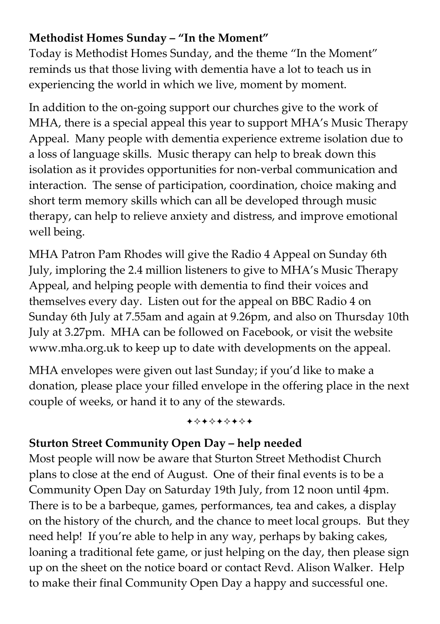#### **Methodist Homes Sunday – "In the Moment"**

Today is Methodist Homes Sunday, and the theme "In the Moment" reminds us that those living with dementia have a lot to teach us in experiencing the world in which we live, moment by moment.

In addition to the on-going support our churches give to the work of MHA, there is a special appeal this year to support MHA's Music Therapy Appeal. Many people with dementia experience extreme isolation due to a loss of language skills. Music therapy can help to break down this isolation as it provides opportunities for non-verbal communication and interaction. The sense of participation, coordination, choice making and short term memory skills which can all be developed through music therapy, can help to relieve anxiety and distress, and improve emotional well being.

MHA Patron Pam Rhodes will give the Radio 4 Appeal on Sunday 6th July, imploring the 2.4 million listeners to give to MHA's Music Therapy Appeal, and helping people with dementia to find their voices and themselves every day. Listen out for the appeal on BBC Radio 4 on Sunday 6th July at 7.55am and again at 9.26pm, and also on Thursday 10th July at 3.27pm. MHA can be followed on Facebook, or visit the website www.mha.org.uk to keep up to date with developments on the appeal.

MHA envelopes were given out last Sunday; if you'd like to make a donation, please place your filled envelope in the offering place in the next couple of weeks, or hand it to any of the stewards.

+\*\*\*\*\*\*\*

### **Sturton Street Community Open Day – help needed**

Most people will now be aware that Sturton Street Methodist Church plans to close at the end of August. One of their final events is to be a Community Open Day on Saturday 19th July, from 12 noon until 4pm. There is to be a barbeque, games, performances, tea and cakes, a display on the history of the church, and the chance to meet local groups. But they need help! If you're able to help in any way, perhaps by baking cakes, loaning a traditional fete game, or just helping on the day, then please sign up on the sheet on the notice board or contact Revd. Alison Walker. Help to make their final Community Open Day a happy and successful one.